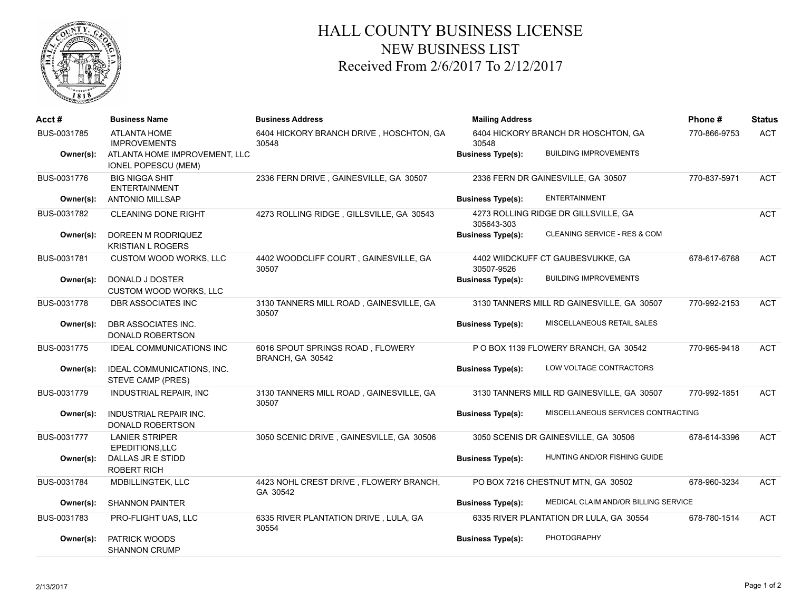

## HALL COUNTY BUSINESS LICENSE NEW BUSINESS LIST Received From 2/6/2017 To 2/12/2017

| Acct#       | <b>Business Name</b>                                        | <b>Business Address</b>                              | <b>Mailing Address</b>                                           | Phone#       | <b>Status</b> |
|-------------|-------------------------------------------------------------|------------------------------------------------------|------------------------------------------------------------------|--------------|---------------|
| BUS-0031785 | <b>ATLANTA HOME</b><br><b>IMPROVEMENTS</b>                  | 6404 HICKORY BRANCH DRIVE, HOSCHTON, GA<br>30548     | 6404 HICKORY BRANCH DR HOSCHTON, GA<br>30548                     | 770-866-9753 | <b>ACT</b>    |
| Owner(s):   | ATLANTA HOME IMPROVEMENT, LLC<br><b>IONEL POPESCU (MEM)</b> |                                                      | <b>BUILDING IMPROVEMENTS</b><br><b>Business Type(s):</b>         |              |               |
| BUS-0031776 | <b>BIG NIGGA SHIT</b><br><b>ENTERTAINMENT</b>               | 2336 FERN DRIVE, GAINESVILLE, GA 30507               | 2336 FERN DR GAINESVILLE, GA 30507                               | 770-837-5971 | <b>ACT</b>    |
| Owner(s):   | <b>ANTONIO MILLSAP</b>                                      |                                                      | <b>ENTERTAINMENT</b><br><b>Business Type(s):</b>                 |              |               |
| BUS-0031782 | <b>CLEANING DONE RIGHT</b>                                  | 4273 ROLLING RIDGE, GILLSVILLE, GA 30543             | 4273 ROLLING RIDGE DR GILLSVILLE, GA<br>305643-303               |              | <b>ACT</b>    |
| Owner(s):   | DOREEN M RODRIQUEZ<br><b>KRISTIAN L ROGERS</b>              |                                                      | CLEANING SERVICE - RES & COM<br><b>Business Type(s):</b>         |              |               |
| BUS-0031781 | <b>CUSTOM WOOD WORKS, LLC</b>                               | 4402 WOODCLIFF COURT, GAINESVILLE, GA<br>30507       | 4402 WIIDCKUFF CT GAUBESVUKKE, GA<br>30507-9526                  | 678-617-6768 | <b>ACT</b>    |
| Owner(s):   | DONALD J DOSTER<br><b>CUSTOM WOOD WORKS, LLC</b>            |                                                      | <b>BUILDING IMPROVEMENTS</b><br><b>Business Type(s):</b>         |              |               |
| BUS-0031778 | DBR ASSOCIATES INC                                          | 3130 TANNERS MILL ROAD, GAINESVILLE, GA<br>30507     | 3130 TANNERS MILL RD GAINESVILLE, GA 30507                       | 770-992-2153 | <b>ACT</b>    |
| Owner(s):   | DBR ASSOCIATES INC.<br>DONALD ROBERTSON                     |                                                      | MISCELLANEOUS RETAIL SALES<br><b>Business Type(s):</b>           |              |               |
| BUS-0031775 | <b>IDEAL COMMUNICATIONS INC</b>                             | 6016 SPOUT SPRINGS ROAD, FLOWERY<br>BRANCH, GA 30542 | P O BOX 1139 FLOWERY BRANCH, GA 30542                            | 770-965-9418 | <b>ACT</b>    |
| Owner(s):   | IDEAL COMMUNICATIONS, INC.<br>STEVE CAMP (PRES)             |                                                      | LOW VOLTAGE CONTRACTORS<br><b>Business Type(s):</b>              |              |               |
| BUS-0031779 | INDUSTRIAL REPAIR, INC                                      | 3130 TANNERS MILL ROAD, GAINESVILLE, GA<br>30507     | 3130 TANNERS MILL RD GAINESVILLE, GA 30507                       | 770-992-1851 | <b>ACT</b>    |
| Owner(s):   | <b>INDUSTRIAL REPAIR INC.</b><br><b>DONALD ROBERTSON</b>    |                                                      | MISCELLANEOUS SERVICES CONTRACTING<br><b>Business Type(s):</b>   |              |               |
| BUS-0031777 | <b>LANIER STRIPER</b><br>EPEDITIONS, LLC                    | 3050 SCENIC DRIVE, GAINESVILLE, GA 30506             | 3050 SCENIS DR GAINESVILLE, GA 30506                             | 678-614-3396 | <b>ACT</b>    |
| Owner(s):   | DALLAS JR E STIDD<br><b>ROBERT RICH</b>                     |                                                      | HUNTING AND/OR FISHING GUIDE<br><b>Business Type(s):</b>         |              |               |
| BUS-0031784 | MDBILLINGTEK, LLC                                           | 4423 NOHL CREST DRIVE, FLOWERY BRANCH,<br>GA 30542   | PO BOX 7216 CHESTNUT MTN, GA 30502                               | 678-960-3234 | <b>ACT</b>    |
| Owner(s):   | SHANNON PAINTER                                             |                                                      | MEDICAL CLAIM AND/OR BILLING SERVICE<br><b>Business Type(s):</b> |              |               |
| BUS-0031783 | PRO-FLIGHT UAS, LLC                                         | 6335 RIVER PLANTATION DRIVE, LULA, GA<br>30554       | 6335 RIVER PLANTATION DR LULA, GA 30554                          | 678-780-1514 | <b>ACT</b>    |
| Owner(s):   | PATRICK WOODS<br><b>SHANNON CRUMP</b>                       |                                                      | <b>PHOTOGRAPHY</b><br><b>Business Type(s):</b>                   |              |               |